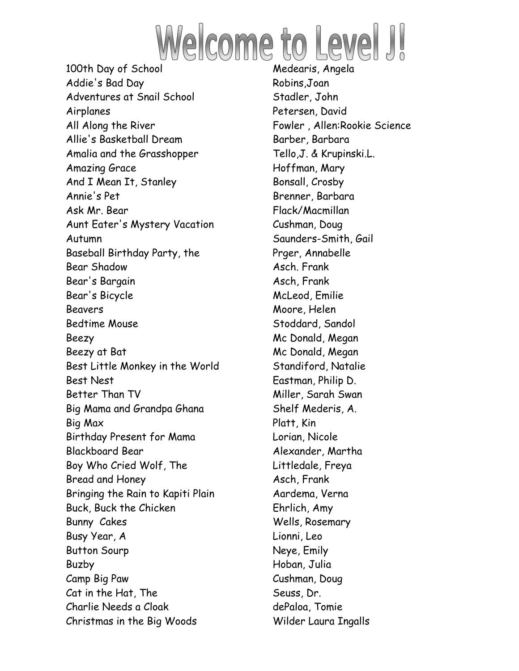

Addie's Bad Day Robins,Joan Adventures at Snail School Stadler, John Airplanes Petersen, David All Along the River **Fowler**, Allen:Rookie Science Allie's Basketball Dream Barber, Barbara Amalia and the Grasshopper Tello, J. & Krupinski.L. Amazing Grace Hoffman, Mary And I Mean It, Stanley Bonsall, Crosby Annie's Pet Brenner, Barbara Ask Mr. Bear Flack/Macmillan Aunt Eater's Mystery Vacation Cushman, Doug Autumn Saunders-Smith, Gail Baseball Birthday Party, the Prger, Annabelle Bear Shadow **Asch.** Frank Bear's Bargain Asch, Frank Bear's Bicycle McLeod, Emilie Beavers Moore, Helen Bedtime Mouse Stoddard, Sandol Beezy **Mc Donald, Megan** Beezy at Bat Mc Donald, Megan Best Little Monkey in the World Standiford, Natalie Best Nest **Eastman**, Philip D. Better Than TV Niller, Sarah Swan Big Mama and Grandpa Ghana Shelf Mederis, A. Big Max Platt, Kin Birthday Present for Mama Lorian, Nicole Blackboard Bear Alexander, Martha Boy Who Cried Wolf, The Electronic Littledale, Freya Bread and Honey Asch, Frank Bringing the Rain to Kapiti Plain Theorema, Verna Buck, Buck the Chicken Ehrlich, Amy Bunny Cakes Wells, Rosemary Busy Year, A Lionni, Leo Button Sourp Neye, Emily Buzby Hoban, Julia Camp Big Paw Cushman, Doug Cat in the Hat, The Seuss, Dr. Charlie Needs a Cloak dePaloa, Tomie Christmas in the Big Woods Wilder Laura Ingalls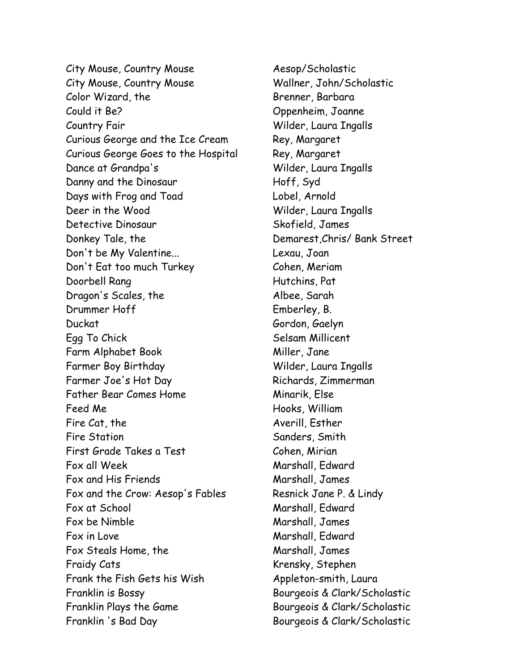City Mouse, Country Mouse **Aesop/Scholastic** City Mouse, Country Mouse Wallner, John/Scholastic Color Wizard, the Brenner, Barbara Could it Be? Oppenheim, Joanne Country Fair Wilder, Laura Ingalls Curious George and the Ice Cream Rey, Margaret Curious George Goes to the Hospital Rey, Margaret Dance at Grandpa's Wilder, Laura Ingalls Danny and the Dinosaur Hoff, Syd Days with Frog and Toad Lobel, Arnold Deer in the Wood Wilder, Laura Ingalls Detective Dinosaur Skofield, James Donkey Tale, the Demarest, Chris/ Bank Street Don't be My Valentine... Lexau, Joan Don't Eat too much Turkey Cohen, Meriam Doorbell Rang Hutchins, Pat Dragon's Scales, the Albee, Sarah Drummer Hoff Emberley, B. Duckat Gordon, Gaelyn Egg To Chick Selsam Millicent Farm Alphabet Book Miller, Jane Farmer Boy Birthday Wilder, Laura Ingalls Farmer Joe's Hot Day Richards, Zimmerman Father Bear Comes Home Minarik, Else Feed Me **Hooks**, William Fire Cat, the Averill, Esther Fire Station Sanders, Smith First Grade Takes a Test Cohen, Mirian Fox all Week Marshall, Edward Fox and His Friends Marshall, James Fox and the Crow: Aesop's Fables Resnick Jane P. & Lindy Fox at School Marshall, Edward Fox be Nimble Marshall, James Fox in Love **Marshall**, Edward Fox Steals Home, the Marshall, James Fraidy Cats **Krensky, Stephen** Frank the Fish Gets his Wish Appleton-smith, Laura Franklin is Bossy Bourgeois & Clark/Scholastic Franklin Plays the Game Bourgeois & Clark/Scholastic Franklin 's Bad Day Bourgeois & Clark/Scholastic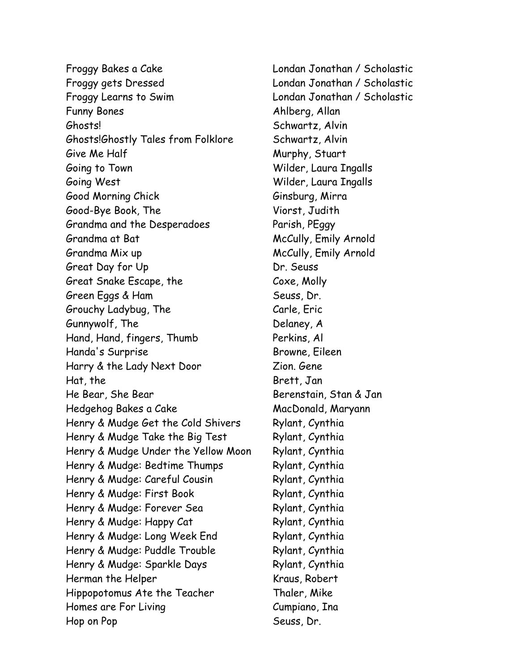Froggy Bakes a Cake Londan Jonathan / Scholastic Froggy gets Dressed Londan Jonathan / Scholastic Froggy Learns to Swim Londan Jonathan / Scholastic Funny Bones Ahlberg, Allan Ghosts! Schwartz, Alvin Ghosts!Ghostly Tales from Folklore Schwartz, Alvin Give Me Half Murphy, Stuart Going to Town Wilder, Laura Ingalls Going West Wilder, Laura Ingalls Good Morning Chick Ginsburg, Mirra Good-Bye Book, The Viorst, Judith Grandma and the Desperadoes Parish, PEggy Grandma at Bat McCully, Emily Arnold Grandma Mix up McCully, Emily Arnold Great Day for Up Dr. Seuss Great Snake Escape, the Coxe, Molly Green Eggs & Ham Seuss, Dr. Grouchy Ladybug, The Carle, Eric Gunnywolf, The Delaney, A Hand, Hand, fingers, Thumb Perkins, Al Handa's Surprise Browne, Eileen Harry & the Lady Next Door Zion. Gene Hat, the Brett, Jan He Bear, She Bear Berenstain, Stan & Jan Hedgehog Bakes a Cake MacDonald, Maryann Henry & Mudge Get the Cold Shivers Rylant, Cynthia Henry & Mudge Take the Big Test Rylant, Cynthia Henry & Mudge Under the Yellow Moon Rylant, Cynthia Henry & Mudge: Bedtime Thumps Rylant, Cynthia Henry & Mudge: Careful Cousin Rylant, Cynthia Henry & Mudge: First Book Rylant, Cynthia Henry & Mudge: Forever Sea Rylant, Cynthia Henry & Mudge: Happy Cat Rylant, Cynthia Henry & Mudge: Long Week End Rylant, Cynthia Henry & Mudge: Puddle Trouble Rylant, Cynthia Henry & Mudge: Sparkle Days Rylant, Cynthia Herman the Helper Kraus, Robert Hippopotomus Ate the Teacher Thaler, Mike Homes are For Living The Cumpiano, Ina Hop on Pop Seuss, Dr.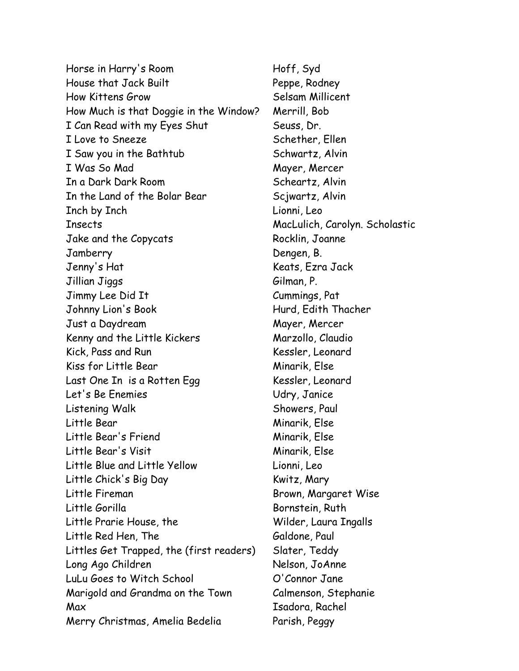Horse in Harry's Room Floff, Syd House that Jack Built Peppe, Rodney How Kittens Grow Selsam Millicent How Much is that Doggie in the Window? Merrill, Bob I Can Read with my Eyes Shut Seuss, Dr. I Love to Sneeze Schether, Ellen I Saw you in the Bathtub Schwartz, Alvin I Was So Mad Mayer, Mercer In a Dark Dark Room Scheartz, Alvin In the Land of the Bolar Bear Scjwartz, Alvin Inch by Inch Lionni, Leo Insects MacLulich, Carolyn. Scholastic Jake and the Copycats Rocklin, Joanne Jamberry Dengen, B. Jenny's Hat Keats, Ezra Jack Jillian Jiggs Gilman, P. Jimmy Lee Did It Cummings, Pat Johnny Lion's Book Hurd, Edith Thacher Just a Daydream Mayer, Mercer Kenny and the Little Kickers Marzollo, Claudio Kick, Pass and Run Kessler, Leonard Kiss for Little Bear Minarik, Else Last One In is a Rotten Egg Kessler, Leonard Let's Be Enemies Udry, Janice Listening Walk Showers, Paul Little Bear Minarik, Else Little Bear's Friend Minarik, Else Little Bear's Visit Ninarik, Else Little Blue and Little Yellow Lionni, Leo Little Chick's Big Day Kwitz, Mary Little Fireman Brown, Margaret Wise Little Gorilla Bornstein, Ruth Little Prarie House, the Wilder, Laura Ingalls Little Red Hen, The Galdone, Paul Littles Get Trapped, the (first readers) Slater, Teddy Long Ago Children Nelson, JoAnne LuLu Goes to Witch School O'Connor Jane Marigold and Grandma on the Town Calmenson, Stephanie Max Isadora, Rachel Merry Christmas, Amelia Bedelia Parish, Peggy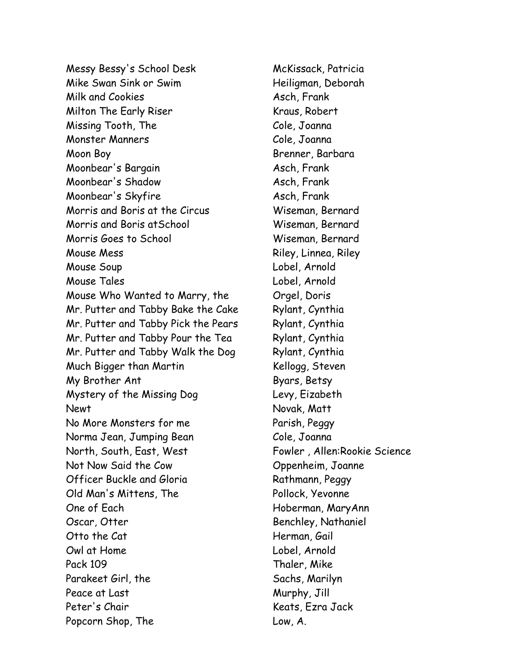Messy Bessy's School Desk McKissack, Patricia Mike Swan Sink or Swim **Frankling** Heiligman, Deborah Milk and Cookies Asch, Frank Milton The Early Riser Kraus, Robert Missing Tooth, The Cole, Joanna Monster Manners Cole, Joanna Moon Boy **Brenner**, Barbara Moonbear's Bargain Asch, Frank Moonbear's Shadow Asch, Frank Moonbear's Skyfire Asch, Frank Morris and Boris at the Circus Wiseman, Bernard Morris and Boris atSchool Wiseman, Bernard Morris Goes to School Wiseman, Bernard Mouse Mess **Mouse Mess** Riley, Linnea, Riley Mouse Soup Lobel, Arnold Mouse Tales Lobel, Arnold Mouse Who Wanted to Marry, the Orgel, Doris Mr. Putter and Tabby Bake the Cake Rylant, Cynthia Mr. Putter and Tabby Pick the Pears Rylant, Cynthia Mr. Putter and Tabby Pour the Tea Rylant, Cynthia Mr. Putter and Tabby Walk the Dog Rylant, Cynthia Much Bigger than Martin Kellogg, Steven My Brother Ant Byars, Betsy Mystery of the Missing Dog Levy, Eizabeth Newt Novak, Matt No More Monsters for me Parish, Peggy Norma Jean, Jumping Bean Cole, Joanna North, South, East, West Fowler, Allen:Rookie Science Not Now Said the Cow Coppenheim, Joanne Officer Buckle and Gloria Rathmann, Peggy Old Man's Mittens, The Pollock, Yevonne One of Each Hoberman, MaryAnn Oscar, Otter **Benchley, Nathaniel** Otto the Cat Herman, Gail Owl at Home Lobel, Arnold Pack 109 Thaler, Mike Parakeet Girl, the Sachs, Marilyn Peace at Last Murphy, Jill Peter's Chair Chair Chair Chair Chair Chair Chair Chair Chair Chair Chair Chair Chair Chair Chair Chair Chair C Popcorn Shop, The Low, A.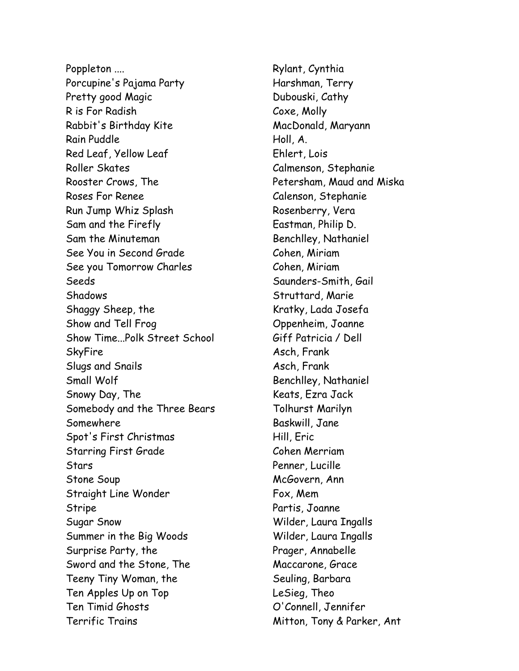Poppleton .... **Rylant, Cynthia** Porcupine's Pajama Party Francesco Harshman, Terry Pretty good Magic **Dubouski**, Cathy R is For Radish Coxe, Molly Rabbit's Birthday Kite MacDonald, Maryann Rain Puddle Holl, A. Red Leaf, Yellow Leaf Ehlert, Lois Roller Skates Calmenson, Stephanie Rooster Crows, The **Petersham, Maud and Miska** Roses For Renee Calenson, Stephanie Run Jump Whiz Splash Rosenberry, Vera Sam and the Firefly Eastman, Philip D. Sam the Minuteman Benchlley, Nathaniel See You in Second Grade Cohen, Miriam See you Tomorrow Charles Cohen, Miriam Seeds Seeds Saunders-Smith, Gail Shadows Struttard, Marie Shaggy Sheep, the Kratky, Lada Josefa Show and Tell Frog Show and Tell Frog Show and Tell Frog Show Burguet Channel Channel Show Time...Polk Street School Giff Patricia / Dell SkyFire Asch, Frank Slugs and Snails Asch, Frank Small Wolf Benchlley, Nathaniel Snowy Day, The Keats, Ezra Jack Somebody and the Three Bears Tolhurst Marilyn Somewhere Baskwill, Jane Spot's First Christmas Hill, Eric Starring First Grade Cohen Merriam Stars Penner, Lucille Stone Soup McGovern, Ann Straight Line Wonder Fox, Mem Stripe Partis, Joanne Sugar Snow Wilder, Laura Ingalls Summer in the Big Woods Wilder, Laura Ingalls Surprise Party, the Prager, Annabelle Sword and the Stone, The Maccarone, Grace Teeny Tiny Woman, the Seuling, Barbara Ten Apples Up on Top LeSieg, Theo Ten Timid Ghosts O'Connell, Jennifer Terrific Trains **Mitton, Tony & Parker, Ant**